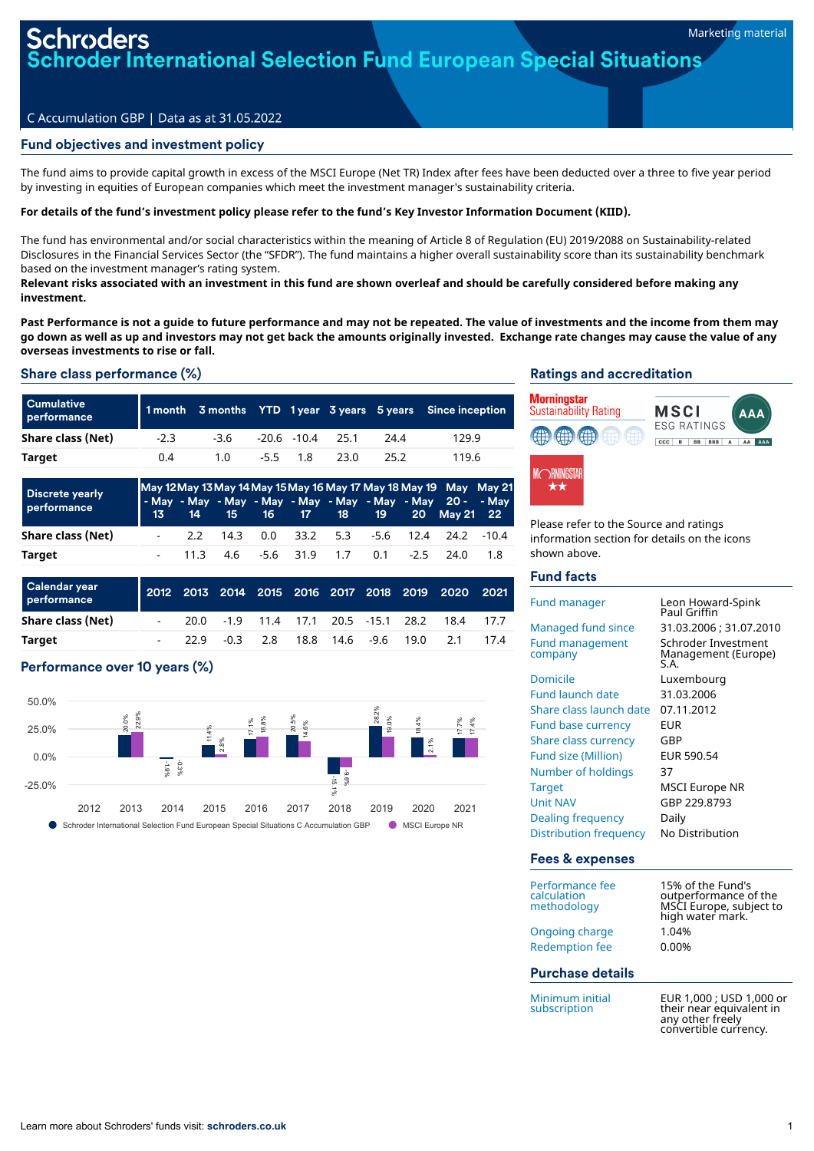der International Selection Fund European Special Situations

# C Accumulation GBP | Data as at 31.05.2022

# Fund objectives and investment policy

The fund aims to provide capital growth in excess of the MSCI Europe (Net TR) Index after fees have been deducted over a three to five year period by investing in equities of European companies which meet the investment manager's sustainability criteria.

### For details of the fund's investment policy please refer to the fund's Key Investor Information Document (KIID).

The fund has environmental and/or social characteristics within the meaning of Article 8 of Regulation (EU) 2019/2088 on Sustainability-related Disclosures in the Financial Services Sector (the "SFDR"). The fund maintains a higher overall sustainability score than its sustainability benchmark based on the investment manager's rating system.

Relevant risks associated with an investment in this fund are shown overleaf and should be carefully considered before making any **investment.**

Past Performance is not a quide to future performance and may not be repeated. The value of investments and the income from them may go down as well as up and investors may not get back the amounts originally invested. Exchange rate changes may cause the value of any **overseas investments to rise or fall.**

# Share class performance (%)

| <b>Cumulative</b><br>performance |        |        |                      |      |      | 1 month 3 months YTD 1 year 3 years 5 years Since inception |
|----------------------------------|--------|--------|----------------------|------|------|-------------------------------------------------------------|
| Share class (Net)                | $-2.3$ | $-3.6$ | $-20.6$ $-10.4$ 25.1 |      | 24.4 | 129.9                                                       |
| <b>Target</b>                    | 0.4    | 1.0    | $-5.5$ 1.8           | 23.0 | 25.2 | 119.6                                                       |

| <b>Discrete yearly</b><br>performance |  |  |  |  | May 12 May 13 May 14 May 15 May 16 May 17 May 18 May 19 May May 21<br>- May - May - May - May - May - May - May - May 20 - - May<br>13 14 15 16 17 18 19 20 May 21 22 |     |
|---------------------------------------|--|--|--|--|-----------------------------------------------------------------------------------------------------------------------------------------------------------------------|-----|
| Share class (Net)                     |  |  |  |  | $-2.2$ 14.3 0.0 33.2 5.3 -5.6 12.4 24.2 -10.4                                                                                                                         |     |
| Target                                |  |  |  |  | - 11.3 4.6 -5.6 31.9 1.7 0.1 -2.5 24.0                                                                                                                                | 1.8 |

| <b>Calendar year</b><br>performance |  |                    |  |  |                                     | 2012 2013 2014 2015 2016 2017 2018 2019 2020 2021 |     |
|-------------------------------------|--|--------------------|--|--|-------------------------------------|---------------------------------------------------|-----|
| Share class (Net)                   |  |                    |  |  | 20.0 -1.9 11.4 17.1 20.5 -15.1 28.2 | 18.4                                              | 177 |
| Target                              |  | $-22.9$ $-0.3$ 2.8 |  |  | 18.8 14.6 -9.6 19.0 2.1             |                                                   | 174 |

# Performance over 10 years (%)



#### Ratings and accreditation



Please refer to the Source and ratings information section for details on the icons shown above.

# Fund facts

| Fund manager                      | Leon Howard-Spink                                 |
|-----------------------------------|---------------------------------------------------|
|                                   | Paul Griffin                                      |
| Managed fund since                | 31.03.2006 ; 31.07.2010                           |
| <b>Fund management</b><br>company | Schroder Investment<br>Management (Europe)<br>ς д |
| Domicile                          | Luxembourg                                        |
| <b>Fund launch date</b>           | 31.03.2006                                        |
| Share class launch date           | 07.11.2012                                        |
| <b>Fund base currency</b>         | EUR                                               |
| Share class currency              | GBP                                               |
| Fund size (Million)               | EUR 590.54                                        |
| Number of holdings                | 37                                                |
| <b>Target</b>                     | MSCI Europe NR                                    |
| <b>Unit NAV</b>                   | GBP 229.8793                                      |
| Dealing frequency                 | Daily                                             |
| Distribution frequency            | No Distribution                                   |
| Fees & expenses                   |                                                   |

| 15% of the Fund's<br>outperformance of the<br>MSCI Europe, subject to<br>high water mark. |
|-------------------------------------------------------------------------------------------|
| 1.04%                                                                                     |
| 0.00%                                                                                     |
|                                                                                           |
|                                                                                           |

Minimum initial subscription

EUR 1,000 ; USD 1,000 or their near equivalent in any other freely convertible currencv.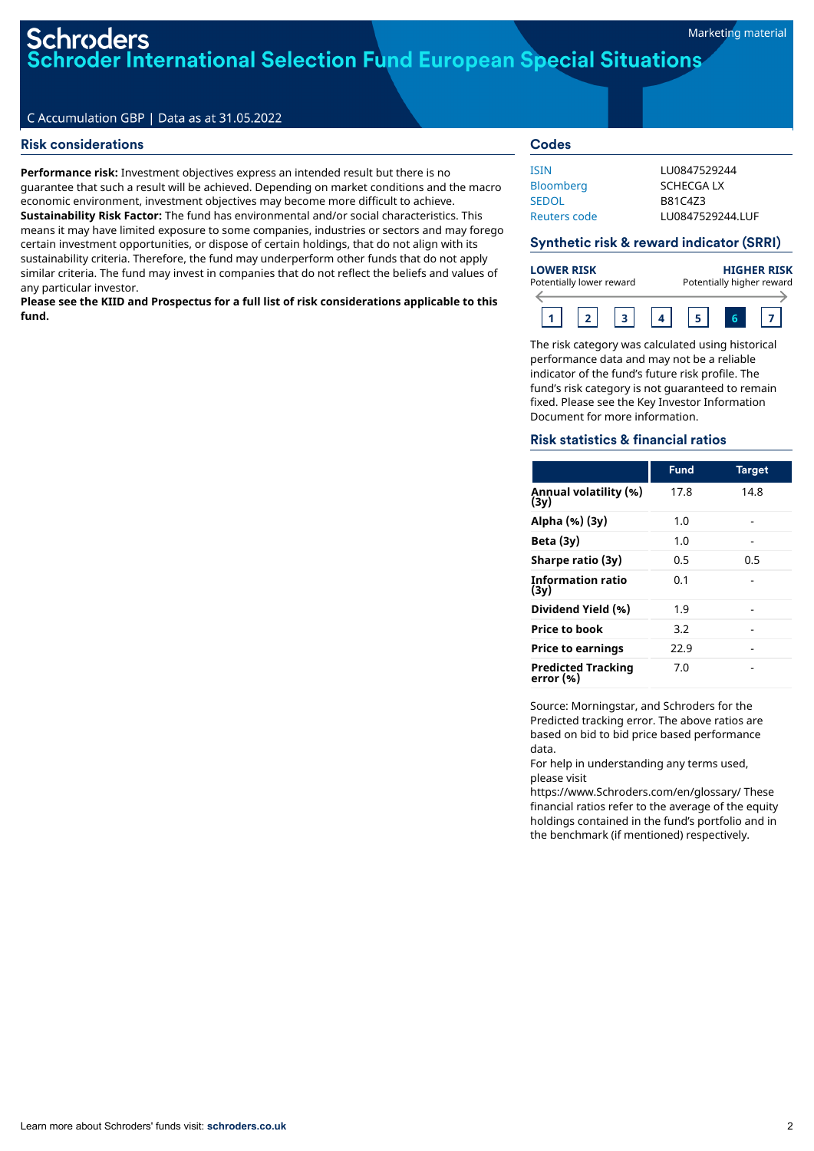# roders **Foder International Selection Fund European Special Situations**

# C Accumulation GBP | Data as at 31.05.2022

# Risk considerations

**Performance risk:** Investment objectives express an intended result but there is no guarantee that such a result will be achieved. Depending on market conditions and the macro economic environment, investment objectives may become more difficult to achieve. **Sustainability Risk Factor:** The fund has environmental and/or social characteristics. This means it may have limited exposure to some companies, industries or sectors and may forego certain investment opportunities, or dispose of certain holdings, that do not align with its sustainability criteria. Therefore, the fund may underperform other funds that do not apply similar criteria. The fund may invest in companies that do not reflect the beliefs and values of any particular investor.

**Please see the KIID and Prospectus for a full list of risk considerations applicable to this fund.**

# **Codes**

| ISIN             | 1110847529244    |
|------------------|------------------|
| <b>Bloomberg</b> | SCHECGA IX       |
| SEDOL            | B81C473          |
| Reuters code     | LU0847529244.LUF |
|                  |                  |

# Synthetic risk & reward indicator (SRRI)

| <b>LOWER RISK</b><br>Potentially lower reward |  |  |  | <b>HIGHER RISK</b><br>Potentially higher reward |  |  |  |  |
|-----------------------------------------------|--|--|--|-------------------------------------------------|--|--|--|--|
|                                               |  |  |  |                                                 |  |  |  |  |

The risk category was calculated using historical performance data and may not be a reliable indicator of the fund's future risk profile. The fund's risk category is not guaranteed to remain fixed. Please see the Key Investor Information Document for more information.

# Risk statistics & financial ratios

|                                 | <b>Fund</b> | <b>Target</b> |
|---------------------------------|-------------|---------------|
| Annual volatility (%)<br>(3v)   | 17.8        | 14.8          |
| Alpha (%) (3y)                  | 1.0         |               |
| Beta $(3y)$                     | 1.0         |               |
| Sharpe ratio (3y)               | 0.5         | 0.5           |
| Information ratio<br>(3y)       | 0.1         |               |
| Dividend Yield (%)              | 1.9         |               |
| Price to book                   | 3.2         |               |
| <b>Price to earnings</b>        | 22.9        |               |
| Predicted Tracking<br>error (%) | 7.0         |               |

Source: Morningstar, and Schroders for the Predicted tracking error. The above ratios are based on bid to bid price based performance data.

For help in understanding any terms used, please visit

https://www.Schroders.com/en/glossary/ These financial ratios refer to the average of the equity holdings contained in the fund's portfolio and in the benchmark (if mentioned) respectively.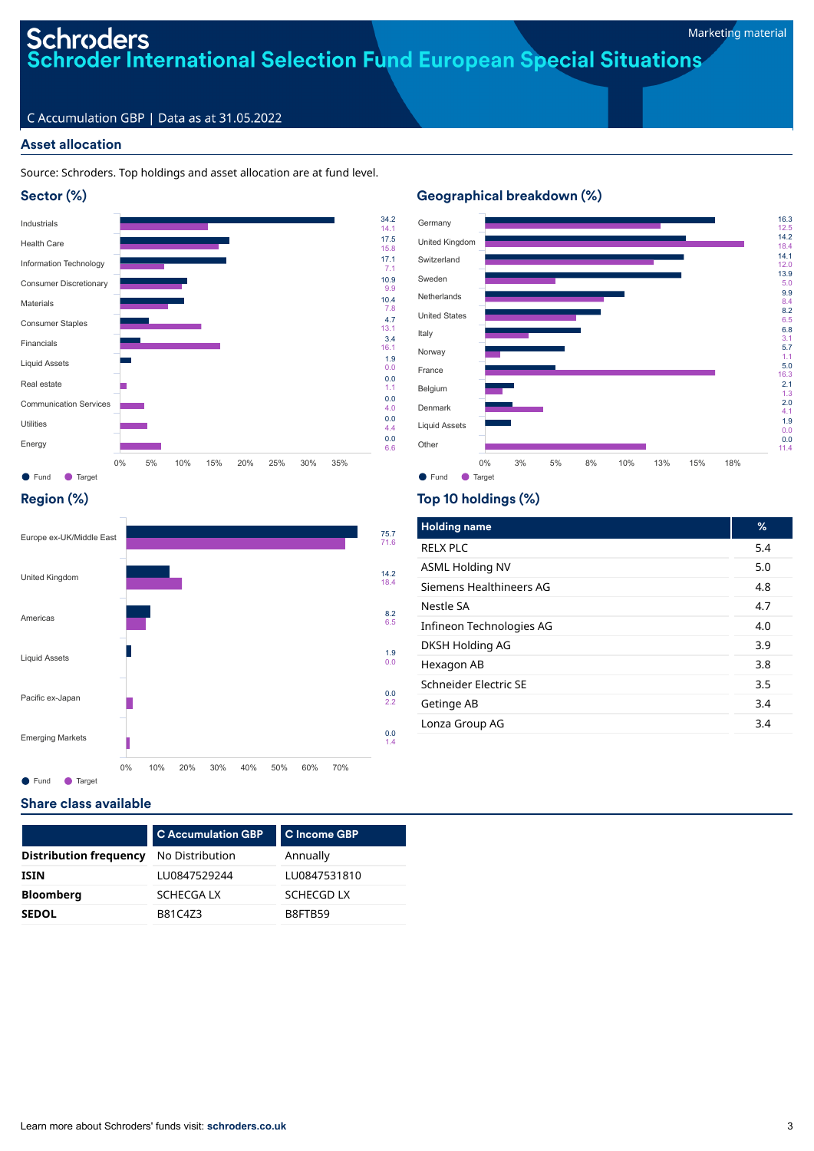# **Schroders**<br>Schroder International Selection Fund European Special Situations

# C Accumulation GBP | Data as at 31.05.2022

# Asset allocation

# Source: Schroders. Top holdings and asset allocation are at fund level.







# Region (%)



● Fund ● Target

# Top 10 holdings (%)

Geographical breakdown (%)

| <b>Holding name</b>      | %   |
|--------------------------|-----|
| <b>RELX PLC</b>          | 5.4 |
| <b>ASML Holding NV</b>   | 5.0 |
| Siemens Healthineers AG  | 4.8 |
| Nestle SA                | 4.7 |
| Infineon Technologies AG | 4.0 |
| DKSH Holding AG          | 3.9 |
| Hexagon AB               | 3.8 |
| Schneider Electric SE    | 3.5 |
| Getinge AB               | 3.4 |
| Lonza Group AG           | 3.4 |

# Share class available

|                               | <b>C Accumulation GBP</b> | C Income GBP      |
|-------------------------------|---------------------------|-------------------|
| <b>Distribution frequency</b> | No Distribution           | Annually          |
| ISIN                          | LU0847529244              | LU0847531810      |
| <b>Bloomberg</b>              | SCHECGA LX                | <b>SCHECGD LX</b> |
| <b>SEDOL</b>                  | B81C4Z3                   | B8FTB59           |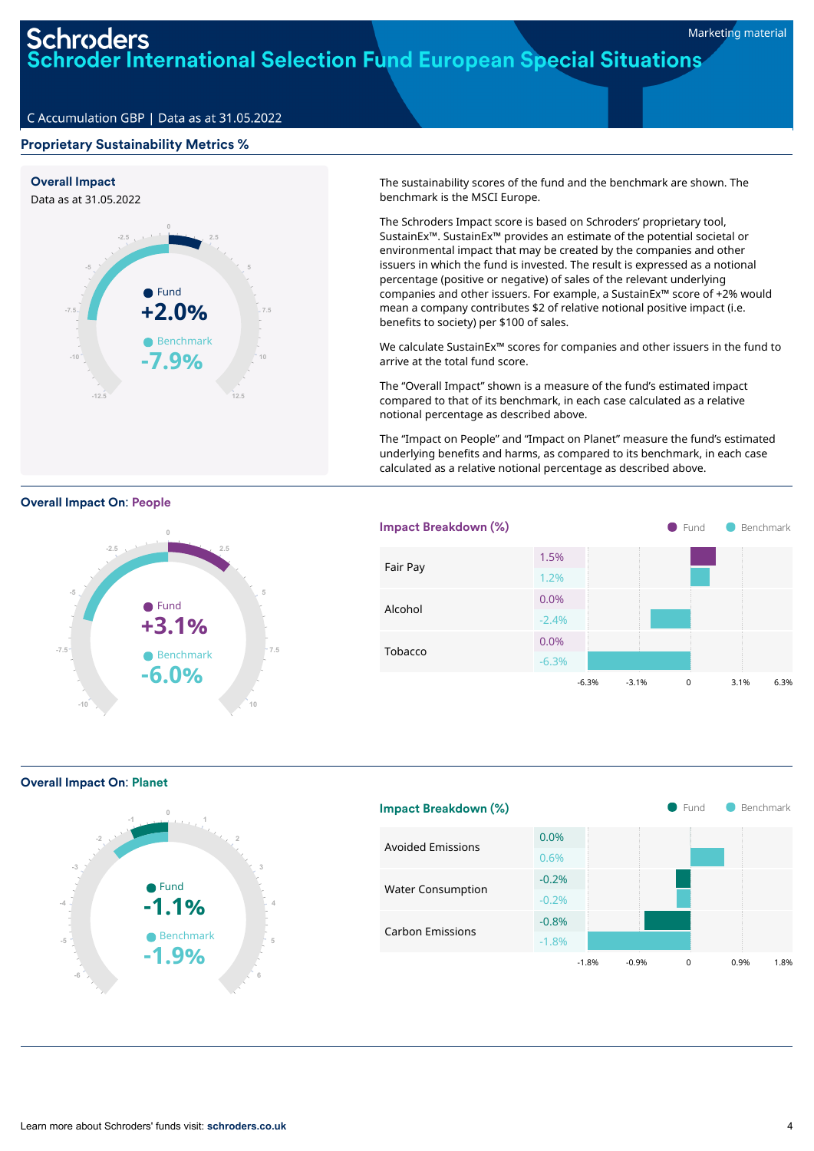# **Schroders**<br>Schroder International Selection Fund European Special Situations

# C Accumulation GBP | Data as at 31.05.2022

# Proprietary Sustainability Metrics %



**0**

**•** Fund **+3.1%**

● Benchmark **-6.0%**

**2.5**

**5**

**7.5**

**10**

The sustainability scores of the fund and the benchmark are shown. The benchmark is the MSCI Europe.

The Schroders Impact score is based on Schroders' proprietary tool, SustainEx™. SustainEx™ provides an estimate of the potential societal or environmental impact that may be created by the companies and other issuers in which the fund is invested. The result is expressed as a notional percentage (positive or negative) of sales of the relevant underlying companies and other issuers. For example, a SustainEx™ score of +2% would mean a company contributes \$2 of relative notional positive impact (i.e. benefits to society) per \$100 of sales.

We calculate SustainEx™ scores for companies and other issuers in the fund to arrive at the total fund score.

The "Overall Impact" shown is a measure of the fund's estimated impact compared to that of its benchmark, in each case calculated as a relative notional percentage as described above.

The "Impact on People" and "Impact on Planet" measure the fund's estimated underlying benefits and harms, as compared to its benchmark, in each case calculated as a relative notional percentage as described above.



Overall Impact On: Planet

**-10**

**-7.5**

**-5**

Overall Impact On: People

**-2.5**



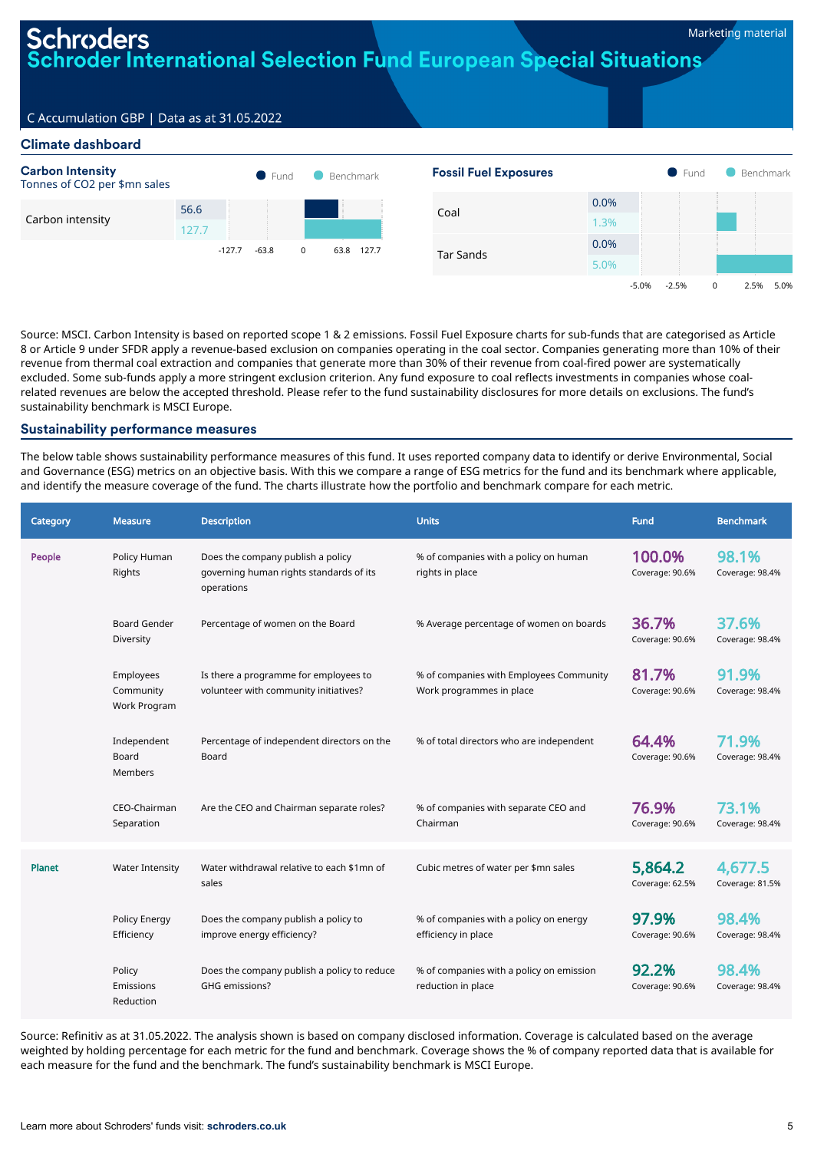-5.0% -2.5% 0 2.5% 5.0%

# hroders **TOder International Selection Fund European Special Situations**

# C Accumulation GBP | Data as at 31.05.2022

# Climate dashboard



Source: MSCI. Carbon Intensity is based on reported scope 1 & 2 emissions. Fossil Fuel Exposure charts for sub-funds that are categorised as Article 8 or Article 9 under SFDR apply a revenue-based exclusion on companies operating in the coal sector. Companies generating more than 10% of their revenue from thermal coal extraction and companies that generate more than 30% of their revenue from coal-fired power are systematically excluded. Some sub-funds apply a more stringent exclusion criterion. Any fund exposure to coal reflects investments in companies whose coalrelated revenues are below the accepted threshold. Please refer to the fund sustainability disclosures for more details on exclusions. The fund's sustainability benchmark is MSCI Europe.

## Sustainability performance measures

The below table shows sustainability performance measures of this fund. It uses reported company data to identify or derive Environmental, Social and Governance (ESG) metrics on an objective basis. With this we compare a range of ESG metrics for the fund and its benchmark where applicable, and identify the measure coverage of the fund. The charts illustrate how the portfolio and benchmark compare for each metric.

| Category | <b>Measure</b>                         | <b>Description</b>                                                                         | <b>Units</b>                                                        | <b>Fund</b>                | <b>Benchmark</b>           |
|----------|----------------------------------------|--------------------------------------------------------------------------------------------|---------------------------------------------------------------------|----------------------------|----------------------------|
| People   | Policy Human<br>Rights                 | Does the company publish a policy<br>governing human rights standards of its<br>operations | % of companies with a policy on human<br>rights in place            | 100.0%<br>Coverage: 90.6%  | 98.1%<br>Coverage: 98.4%   |
|          | <b>Board Gender</b><br>Diversity       | Percentage of women on the Board                                                           | % Average percentage of women on boards                             | 36.7%<br>Coverage: 90.6%   | 37.6%<br>Coverage: 98.4%   |
|          | Employees<br>Community<br>Work Program | Is there a programme for employees to<br>volunteer with community initiatives?             | % of companies with Employees Community<br>Work programmes in place | 81.7%<br>Coverage: 90.6%   | 91.9%<br>Coverage: 98.4%   |
|          | Independent<br>Board<br><b>Members</b> | Percentage of independent directors on the<br>Board                                        | % of total directors who are independent                            | 64.4%<br>Coverage: 90.6%   | 71.9%<br>Coverage: 98.4%   |
|          | CEO-Chairman<br>Separation             | Are the CEO and Chairman separate roles?                                                   | % of companies with separate CEO and<br>Chairman                    | 76.9%<br>Coverage: 90.6%   | 73.1%<br>Coverage: 98.4%   |
| Planet   | <b>Water Intensity</b>                 | Water withdrawal relative to each \$1mn of<br>sales                                        | Cubic metres of water per \$mn sales                                | 5,864.2<br>Coverage: 62.5% | 4,677.5<br>Coverage: 81.5% |
|          | Policy Energy<br>Efficiency            | Does the company publish a policy to<br>improve energy efficiency?                         | % of companies with a policy on energy<br>efficiency in place       | 97.9%<br>Coverage: 90.6%   | 98.4%<br>Coverage: 98.4%   |
|          | Policy<br>Emissions<br>Reduction       | Does the company publish a policy to reduce<br>GHG emissions?                              | % of companies with a policy on emission<br>reduction in place      | 92.2%<br>Coverage: 90.6%   | 98.4%<br>Coverage: 98.4%   |

Source: Refinitiv as at 31.05.2022. The analysis shown is based on company disclosed information. Coverage is calculated based on the average weighted by holding percentage for each metric for the fund and benchmark. Coverage shows the % of company reported data that is available for each measure for the fund and the benchmark. The fund's sustainability benchmark is MSCI Europe.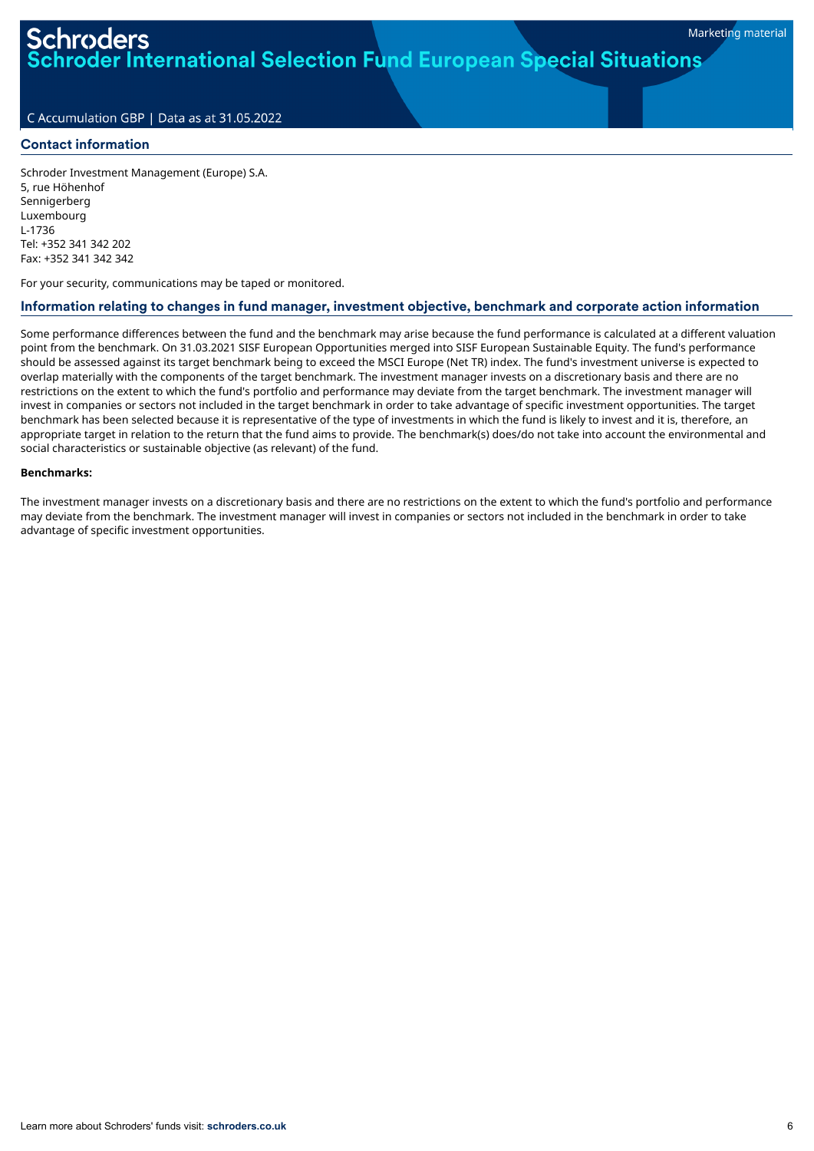# oder International Selection Fund European Special Situations

# C Accumulation GBP | Data as at 31.05.2022

## Contact information

Schroder Investment Management (Europe) S.A. 5, rue Höhenhof Sennigerberg Luxembourg L-1736 Tel: +352 341 342 202 Fax: +352 341 342 342

For your security, communications may be taped or monitored.

# Information relating to changes in fund manager, investment objective, benchmark and corporate action information

Some performance differences between the fund and the benchmark may arise because the fund performance is calculated at a different valuation point from the benchmark. On 31.03.2021 SISF European Opportunities merged into SISF European Sustainable Equity. The fund's performance should be assessed against its target benchmark being to exceed the MSCI Europe (Net TR) index. The fund's investment universe is expected to overlap materially with the components of the target benchmark. The investment manager invests on a discretionary basis and there are no restrictions on the extent to which the fund's portfolio and performance may deviate from the target benchmark. The investment manager will invest in companies or sectors not included in the target benchmark in order to take advantage of specific investment opportunities. The target benchmark has been selected because it is representative of the type of investments in which the fund is likely to invest and it is, therefore, an appropriate target in relation to the return that the fund aims to provide. The benchmark(s) does/do not take into account the environmental and social characteristics or sustainable objective (as relevant) of the fund.

### **Benchmarks:**

The investment manager invests on a discretionary basis and there are no restrictions on the extent to which the fund's portfolio and performance may deviate from the benchmark. The investment manager will invest in companies or sectors not included in the benchmark in order to take advantage of specific investment opportunities.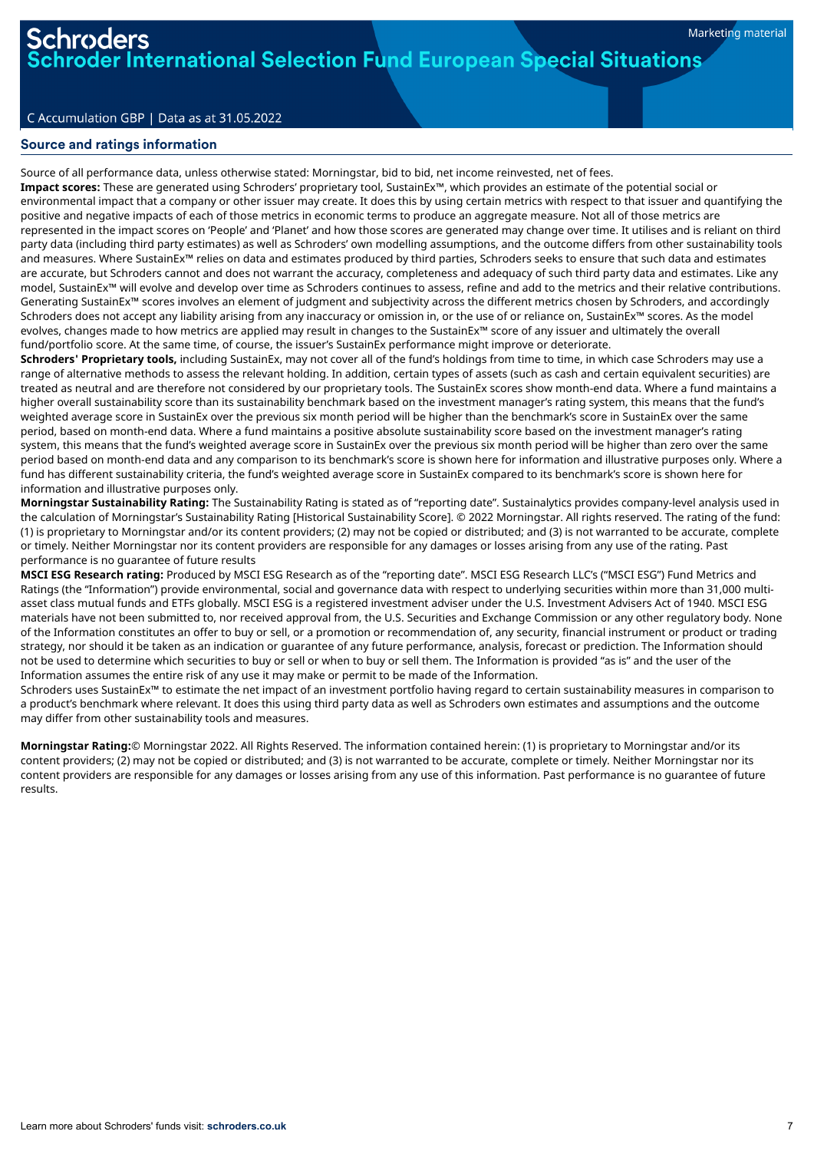der International Selection Fund European Special Situations

## C Accumulation GBP | Data as at 31.05.2022

# Source and ratings information

Source of all performance data, unless otherwise stated: Morningstar, bid to bid, net income reinvested, net of fees.

**Impact scores:** These are generated using Schroders' proprietary tool, SustainEx™, which provides an estimate of the potential social or environmental impact that a company or other issuer may create. It does this by using certain metrics with respect to that issuer and quantifying the positive and negative impacts of each of those metrics in economic terms to produce an aggregate measure. Not all of those metrics are represented in the impact scores on 'People' and 'Planet' and how those scores are generated may change over time. It utilises and is reliant on third party data (including third party estimates) as well as Schroders' own modelling assumptions, and the outcome differs from other sustainability tools and measures. Where SustainEx™ relies on data and estimates produced by third parties, Schroders seeks to ensure that such data and estimates are accurate, but Schroders cannot and does not warrant the accuracy, completeness and adequacy of such third party data and estimates. Like any model, SustainEx™ will evolve and develop over time as Schroders continues to assess, refine and add to the metrics and their relative contributions. Generating SustainEx™ scores involves an element of judgment and subjectivity across the different metrics chosen by Schroders, and accordingly Schroders does not accept any liability arising from any inaccuracy or omission in, or the use of or reliance on, SustainEx™ scores. As the model evolves, changes made to how metrics are applied may result in changes to the SustainEx™ score of any issuer and ultimately the overall fund/portfolio score. At the same time, of course, the issuer's SustainEx performance might improve or deteriorate.

**Schroders' Proprietary tools,** including SustainEx, may not cover all of the fund's holdings from time to time, in which case Schroders may use a range of alternative methods to assess the relevant holding. In addition, certain types of assets (such as cash and certain equivalent securities) are treated as neutral and are therefore not considered by our proprietary tools. The SustainEx scores show month-end data. Where a fund maintains a higher overall sustainability score than its sustainability benchmark based on the investment manager's rating system, this means that the fund's weighted average score in SustainEx over the previous six month period will be higher than the benchmark's score in SustainEx over the same period, based on month-end data. Where a fund maintains a positive absolute sustainability score based on the investment manager's rating system, this means that the fund's weighted average score in SustainEx over the previous six month period will be higher than zero over the same period based on month-end data and any comparison to its benchmark's score is shown here for information and illustrative purposes only. Where a fund has different sustainability criteria, the fund's weighted average score in SustainEx compared to its benchmark's score is shown here for information and illustrative purposes only.

**Morningstar Sustainability Rating:** The Sustainability Rating is stated as of "reporting date". Sustainalytics provides company-level analysis used in the calculation of Morningstar's Sustainability Rating [Historical Sustainability Score]. © 2022 Morningstar. All rights reserved. The rating of the fund: (1) is proprietary to Morningstar and/or its content providers; (2) may not be copied or distributed; and (3) is not warranted to be accurate, complete or timely. Neither Morningstar nor its content providers are responsible for any damages or losses arising from any use of the rating. Past performance is no guarantee of future results

**MSCI ESG Research rating:** Produced by MSCI ESG Research as of the "reporting date". MSCI ESG Research LLC's ("MSCI ESG") Fund Metrics and Ratings (the "Information") provide environmental, social and governance data with respect to underlying securities within more than 31,000 multiasset class mutual funds and ETFs globally. MSCI ESG is a registered investment adviser under the U.S. Investment Advisers Act of 1940. MSCI ESG materials have not been submitted to, nor received approval from, the U.S. Securities and Exchange Commission or any other regulatory body. None of the Information constitutes an offer to buy or sell, or a promotion or recommendation of, any security, financial instrument or product or trading strategy, nor should it be taken as an indication or guarantee of any future performance, analysis, forecast or prediction. The Information should not be used to determine which securities to buy or sell or when to buy or sell them. The Information is provided "as is" and the user of the Information assumes the entire risk of any use it may make or permit to be made of the Information.

Schroders uses SustainEx™ to estimate the net impact of an investment portfolio having regard to certain sustainability measures in comparison to a product's benchmark where relevant. It does this using third party data as well as Schroders own estimates and assumptions and the outcome may differ from other sustainability tools and measures.

**Morningstar Rating:**© Morningstar 2022. All Rights Reserved. The information contained herein: (1) is proprietary to Morningstar and/or its content providers; (2) may not be copied or distributed; and (3) is not warranted to be accurate, complete or timely. Neither Morningstar nor its content providers are responsible for any damages or losses arising from any use of this information. Past performance is no guarantee of future results.